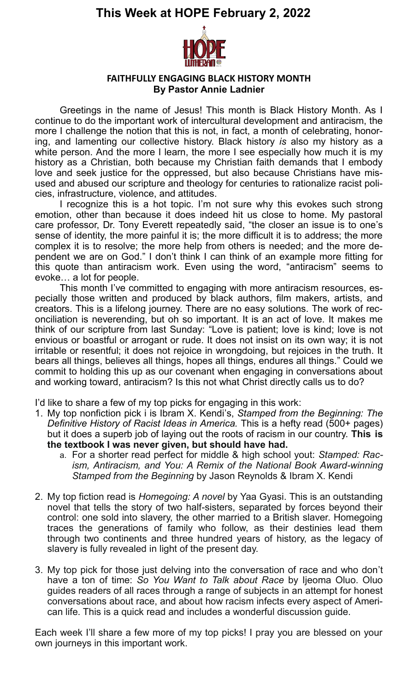

#### **FAITHFULLY ENGAGING BLACK HISTORY MONTH By Pastor Annie Ladnier**

Greetings in the name of Jesus! This month is Black History Month. As I continue to do the important work of intercultural development and antiracism, the more I challenge the notion that this is not, in fact, a month of celebrating, honoring, and lamenting our collective history. Black history *is* also my history as a white person. And the more I learn, the more I see especially how much it is my history as a Christian, both because my Christian faith demands that I embody love and seek justice for the oppressed, but also because Christians have misused and abused our scripture and theology for centuries to rationalize racist policies, infrastructure, violence, and attitudes.

I recognize this is a hot topic. I'm not sure why this evokes such strong emotion, other than because it does indeed hit us close to home. My pastoral care professor, Dr. Tony Everett repeatedly said, "the closer an issue is to one's sense of identity, the more painful it is; the more difficult it is to address; the more complex it is to resolve; the more help from others is needed; and the more dependent we are on God." I don't think I can think of an example more fitting for this quote than antiracism work. Even using the word, "antiracism" seems to evoke… a lot for people.

This month I've committed to engaging with more antiracism resources, especially those written and produced by black authors, film makers, artists, and creators. This is a lifelong journey. There are no easy solutions. The work of reconciliation is neverending, but oh so important. It is an act of love. It makes me think of our scripture from last Sunday: "Love is patient; love is kind; love is not envious or boastful or arrogant or rude. It does not insist on its own way; it is not irritable or resentful; it does not rejoice in wrongdoing, but rejoices in the truth. It bears all things, believes all things, hopes all things, endures all things." Could we commit to holding this up as our covenant when engaging in conversations about and working toward, antiracism? Is this not what Christ directly calls us to do?

I'd like to share a few of my top picks for engaging in this work:

- 1. My top nonfiction pick i is Ibram X. Kendi's, *Stamped from the Beginning: The Definitive History of Racist Ideas in America.* This is a hefty read (500+ pages) but it does a superb job of laying out the roots of racism in our country. **This is the textbook I was never given, but should have had.**
	- a. For a shorter read perfect for middle & high school yout: *Stamped: Racism, Antiracism, and You: A Remix of the National Book Award-winning Stamped from the Beginning* by Jason Reynolds & Ibram X. Kendi
- 2. My top fiction read is *Homegoing: A novel* by Yaa Gyasi. This is an outstanding novel that tells the story of two half-sisters, separated by forces beyond their control: one sold into slavery, the other married to a British slaver. Homegoing traces the generations of family who follow, as their destinies lead them through two continents and three hundred years of history, as the legacy of slavery is fully revealed in light of the present day.
- 3. My top pick for those just delving into the conversation of race and who don't have a ton of time: *So You Want to Talk about Race* by Ijeoma Oluo. Oluo guides readers of all races through a range of subjects in an attempt for honest conversations about race, and about how racism infects every aspect of American life. This is a quick read and includes a wonderful discussion guide.

Each week I'll share a few more of my top picks! I pray you are blessed on your own journeys in this important work.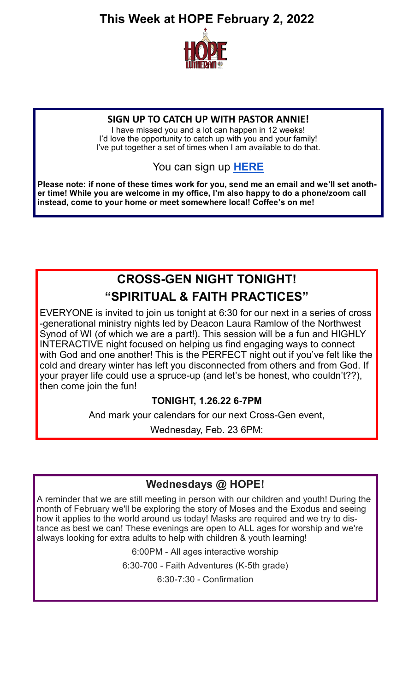

#### **SIGN UP TO CATCH UP WITH PASTOR ANNIE!**

I have missed you and a lot can happen in 12 weeks! I'd love the opportunity to catch up with you and your family! I've put together a set of times when I am available to do that.

## You can sign up **[HERE](https://www.signupgenius.com/go/9040448A4A82DA5F49-catch)**

**Please note: if none of these times work for you, send me an email and we'll set another time! While you are welcome in my office, I'm also happy to do a phone/zoom call instead, come to your home or meet somewhere local! Coffee's on me!** 

## **CROSS-GEN NIGHT TONIGHT! "SPIRITUAL & FAITH PRACTICES"**

EVERYONE is invited to join us tonight at 6:30 for our next in a series of cross -generational ministry nights led by Deacon Laura Ramlow of the Northwest Synod of WI (of which we are a part!). This session will be a fun and HIGHLY INTERACTIVE night focused on helping us find engaging ways to connect with God and one another! This is the PERFECT night out if you've felt like the cold and dreary winter has left you disconnected from others and from God. If your prayer life could use a spruce-up (and let's be honest, who couldn't??), then come join the fun!

### **TONIGHT, 1.26.22 6-7PM**

And mark your calendars for our next Cross-Gen event,

Wednesday, Feb. 23 6PM:

## **Wednesdays @ HOPE!**

A reminder that we are still meeting in person with our children and youth! During the month of February we'll be exploring the story of Moses and the Exodus and seeing how it applies to the world around us today! Masks are required and we try to distance as best we can! These evenings are open to ALL ages for worship and we're always looking for extra adults to help with children & youth learning!

6:00PM - All ages interactive worship

6:30-700 - Faith Adventures (K-5th grade)

6:30-7:30 - Confirmation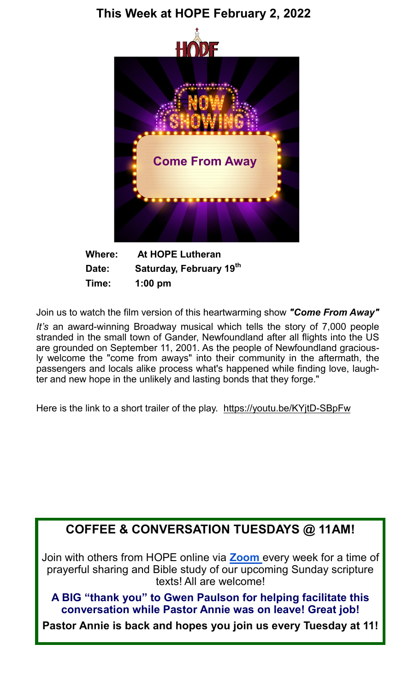

**Where: At HOPE Lutheran Date: Saturday, February 19th Time: 1:00 pm**

Join us to watch the film version of this heartwarming show *"Come From Away"*

*It's* an award-winning Broadway musical which tells the story of 7,000 people stranded in the small town of Gander, Newfoundland after all flights into the US are grounded on September 11, 2001. As the people of Newfoundland graciously welcome the "come from aways" into their community in the aftermath, the passengers and locals alike process what's happened while finding love, laughter and new hope in the unlikely and lasting bonds that they forge."

Here is the link to a short trailer of the play. [https://youtu.be/KYjtD](https://youtu.be/KYjtD-SBpFw)-SBpFw

## **COFFEE & CONVERSATION TUESDAYS @ 11AM!**

Join with others from HOPE online via **[Zoom](https://us02web.zoom.us/j/88419155061?pwd=di9hUXlaeDdzM0dCK0pPMDNtbHczZz09)** every week for a time of prayerful sharing and Bible study of our upcoming Sunday scripture texts! All are welcome!

**A BIG "thank you" to Gwen Paulson for helping facilitate this conversation while Pastor Annie was on leave! Great job!** 

**Pastor Annie is back and hopes you join us every Tuesday at 11!**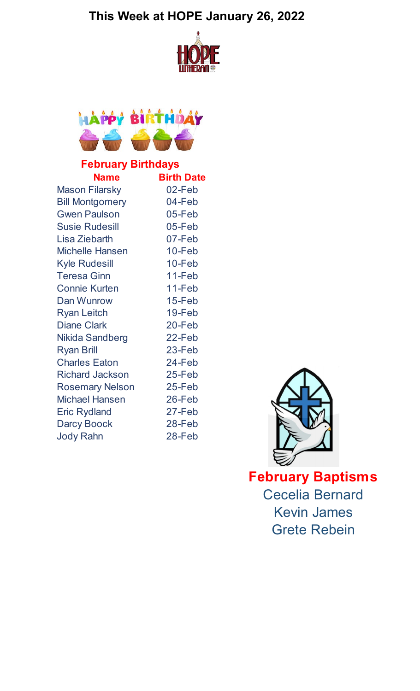## **This Week at HOPE January 26, 2022**





## **February Birthdays**

| <b>Name</b>            | <b>Birth Date</b> |
|------------------------|-------------------|
| <b>Mason Filarsky</b>  | 02-Feb            |
| <b>Bill Montgomery</b> | 04-Feb            |
| <b>Gwen Paulson</b>    | 05-Feb            |
| <b>Susie Rudesill</b>  | 05-Feb            |
| Lisa Ziebarth          | 07-Feb            |
| <b>Michelle Hansen</b> | $10 - Feb$        |
| <b>Kyle Rudesill</b>   | 10-Feb            |
| <b>Teresa Ginn</b>     | 11-Feb            |
| <b>Connie Kurten</b>   | 11-Feb            |
| Dan Wunrow             | $15 - Feb$        |
| <b>Ryan Leitch</b>     | 19-Feb            |
| <b>Diane Clark</b>     | 20-Feb            |
| Nikida Sandberg        | 22-Feb            |
| <b>Ryan Brill</b>      | 23-Feb            |
| <b>Charles Eaton</b>   | 24-Feb            |
| <b>Richard Jackson</b> | 25-Feb            |
| <b>Rosemary Nelson</b> | $25 - Feb$        |
| <b>Michael Hansen</b>  | 26-Feb            |
| <b>Eric Rydland</b>    | 27-Feb            |
| <b>Darcy Boock</b>     | 28-Feb            |
| <b>Jody Rahn</b>       | 28-Feb            |



**February Baptisms** Cecelia Bernard Kevin James Grete Rebein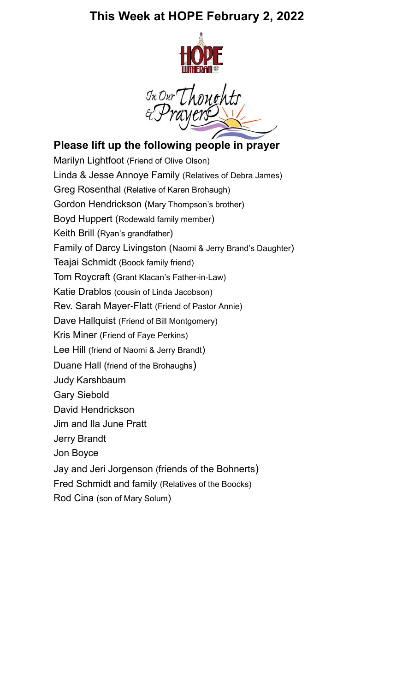

In Our Though

## **Please lift up the following people in prayer**

Marilyn Lightfoot (Friend of Olive Olson) Linda & Jesse Annoye Family (Relatives of Debra James) Greg Rosenthal (Relative of Karen Brohaugh) Gordon Hendrickson (Mary Thompson's brother) Boyd Huppert (Rodewald family member) Keith Brill (Ryan's grandfather) Family of Darcy Livingston (Naomi & Jerry Brand's Daughter) Teajai Schmidt (Boock family friend) Tom Roycraft (Grant Klacan's Father-in-Law) Katie Drablos (cousin of Linda Jacobson) Rev. Sarah Mayer-Flatt (Friend of Pastor Annie) Dave Hallquist (Friend of Bill Montgomery) Kris Miner (Friend of Faye Perkins) Lee Hill (friend of Naomi & Jerry Brandt) Duane Hall (friend of the Brohaughs) Judy Karshbaum Gary Siebold David Hendrickson Jim and Ila June Pratt Jerry Brandt Jon Boyce Jay and Jeri Jorgenson (friends of the Bohnerts) Fred Schmidt and family (Relatives of the Boocks) Rod Cina (son of Mary Solum)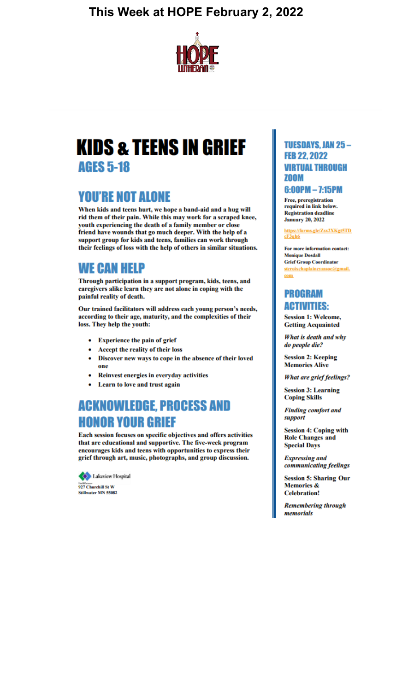

# **KIDS & TEENS IN GRIEF AGES 5-18**

## **YOU'RE NOT ALONE**

When kids and teens hurt, we hope a band-aid and a hug will rid them of their pain. While this may work for a scraped knee, youth experiencing the death of a family member or close friend have wounds that go much deeper. With the help of a support group for kids and teens, families can work through their feelings of loss with the help of others in similar situations.

## **WE CAN HELP**

Through participation in a support program, kids, teens, and caregivers alike learn they are not alone in coping with the painful reality of death.

Our trained facilitators will address each young person's needs, according to their age, maturity, and the complexities of their loss. They help the youth:

- **Experience the pain of grief**
- Accept the reality of their loss
- Discover new ways to cope in the absence of their loved one
- Reinvest energies in everyday activities
- Learn to love and trust again

## **ACKNOWLEDGE, PROCESS AND HONOR YOUR GRIEF**

Each session focuses on specific objectives and offers activities that are educational and supportive. The five-week program encourages kids and teens with opportunities to express their grief through art, music, photographs, and group discussion.



#### **TUESDAYS, JAN 25-FEB 22.2022 VIRTUAL THROUGH** ZOOM

#### $6:00PM - 7:15PM$

Free, preregistration required in link below. **Registration deadline January 20, 2022** 

https://forms.gle/Zsx2XKgt5TD  $cF3qh6$ 

For more information contact: **Monique Dosdall Grief Group Coordinator** stcroixchaplaincyassoc@gmail. com

#### **PROGRAM ACTIVITIES:**

**Session 1: Welcome, Getting Acquainted** 

What is death and why do people die?

**Session 2: Keeping Memories Alive** 

**What are grief feelings?** 

**Session 3: Learning Coping Skills** 

**Finding comfort and** support

**Session 4: Coping with Role Changes and Special Days** 

**Expressing and** communicating feelings

**Session 5: Sharing Our Memories & Celebration!** 

**Remembering through** memorials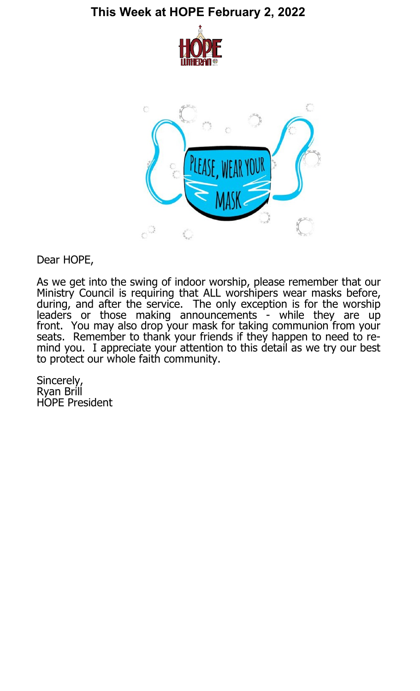



Dear HOPE,

As we get into the swing of indoor worship, please remember that our Ministry Council is requiring that ALL worshipers wear masks before, during, and after the service. The only exception is for the worship leaders or those making announcements - while they are up front. You may also drop your mask for taking communion from your seats. Remember to thank your friends if they happen to need to remind you. I appreciate your attention to this detail as we try our best to protect our whole faith community.

Sincerely, Ryan Brill HOPE President